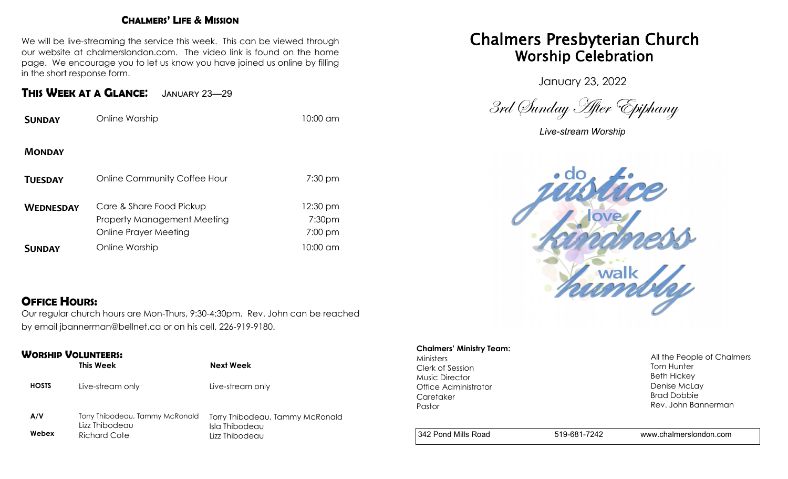#### **CHALMERS' LIFE & MISSION**

We will be live-streaming the service this week. This can be viewed through our website at chalmerslondon.com. The video link is found on the home page. We encourage you to let us know you have joined us online by filling in the short response form.

# **THIS WEEK AT <sup>A</sup> GLANCE**: January 23—<sup>29</sup>

| <b>SUNDAY</b>    | Online Worship                                                                          | 10:00 am                                  |
|------------------|-----------------------------------------------------------------------------------------|-------------------------------------------|
| <b>MONDAY</b>    |                                                                                         |                                           |
| <b>TUESDAY</b>   | Online Community Coffee Hour                                                            | $7:30$ pm                                 |
| <b>WEDNESDAY</b> | Care & Share Food Pickup<br><b>Property Management Meeting</b><br>Online Prayer Meeting | 12:30 pm<br>7:30 <sub>pm</sub><br>7:00 pm |
| <b>SUNDAY</b>    | Online Worship                                                                          | 10:00 am                                  |

# Chalmers Presbyterian Church Worship Celebration

January 23, 2022

3rd Sunday After Epiphany

*Live-stream Worship*



# **OFFICE HOURS:**

Our regular church hours are Mon-Thurs, 9:30-4:30pm. Rev. John can be reached by email jbannerman@bellnet.ca or on his cell, 226-919-9180.

### **WORSHIP VOLUNTEERS:**

|              | This Week                                         | Next Week                                         |
|--------------|---------------------------------------------------|---------------------------------------------------|
| <b>HOSTS</b> | Live-stream only                                  | Live-stream only                                  |
| A/V          | Torry Thibodeau, Tammy McRonald<br>Lizz Thibodeau | Torry Thibodeau, Tammy McRonald<br>Isla Thibodeau |
| Webex        | Richard Cote                                      | Lizz Thibodeau                                    |

#### **Chalmers' Ministry Team:**

Ministers Clerk of Session Music Director Office Administrator **Caretaker** Pastor

All the People of Chalmers Tom Hunter Beth Hickey Denise McLay Brad Dobbie Rev. John Bannerman

342 Pond Mills Road 519-681-7242 www.chalmerslondon.com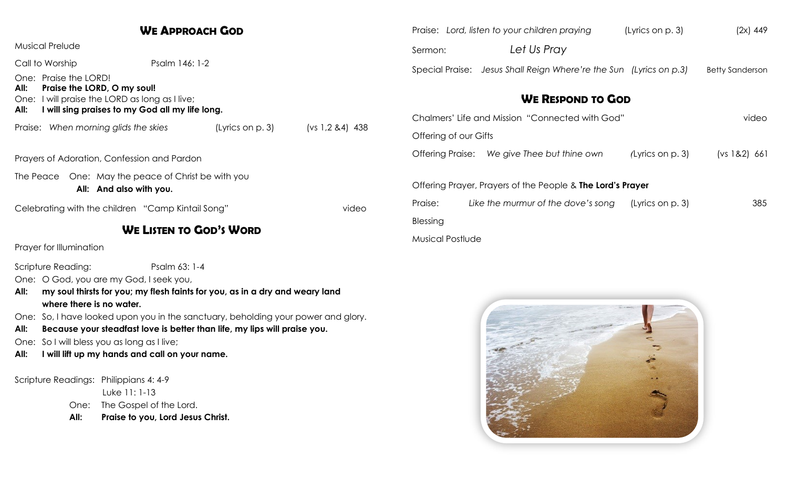| <b>WE APPROACH GOD</b>                                                                                                                                                                                                                                                                                                                                                                                                                                                                                                                                                                                                                  | Praise: Lord, listen to your children praying<br>$(2x)$ 449<br>(Lyrics on p. 3)              |  |
|-----------------------------------------------------------------------------------------------------------------------------------------------------------------------------------------------------------------------------------------------------------------------------------------------------------------------------------------------------------------------------------------------------------------------------------------------------------------------------------------------------------------------------------------------------------------------------------------------------------------------------------------|----------------------------------------------------------------------------------------------|--|
| <b>Musical Prelude</b>                                                                                                                                                                                                                                                                                                                                                                                                                                                                                                                                                                                                                  | Let Us Pray<br>Sermon:                                                                       |  |
| Psalm 146: 1-2<br>Call to Worship                                                                                                                                                                                                                                                                                                                                                                                                                                                                                                                                                                                                       | Special Praise: Jesus Shall Reign Where're the Sun (Lyrics on p.3)<br><b>Betty Sanderson</b> |  |
| One: Praise the LORD!<br>Praise the LORD, O my soul!<br>All:<br>One: I will praise the LORD as long as I live;                                                                                                                                                                                                                                                                                                                                                                                                                                                                                                                          | <b>WE RESPOND TO GOD</b>                                                                     |  |
| I will sing praises to my God all my life long.<br>All:                                                                                                                                                                                                                                                                                                                                                                                                                                                                                                                                                                                 |                                                                                              |  |
| Praise: When morning glids the skies<br>$(vs 1, 284)$ 438<br>(Lyrics on p. 3)                                                                                                                                                                                                                                                                                                                                                                                                                                                                                                                                                           | Chalmers' Life and Mission "Connected with God"<br>video<br>Offering of our Gifts            |  |
| Prayers of Adoration, Confession and Pardon                                                                                                                                                                                                                                                                                                                                                                                                                                                                                                                                                                                             | (vs 182) 661<br>Offering Praise: We give Thee but thine own<br>(Lyrics on p. 3)              |  |
| The Peace One: May the peace of Christ be with you<br>All: And also with you.                                                                                                                                                                                                                                                                                                                                                                                                                                                                                                                                                           | Offering Prayer, Prayers of the People & The Lord's Prayer                                   |  |
| Celebrating with the children "Camp Kintail Song"<br>video                                                                                                                                                                                                                                                                                                                                                                                                                                                                                                                                                                              | Like the murmur of the dove's song<br>Praise:<br>(Lyrics on p. 3)<br>385                     |  |
| <b>WE LISTEN TO GOD'S WORD</b><br>Prayer for Illumination                                                                                                                                                                                                                                                                                                                                                                                                                                                                                                                                                                               | Blessing<br><b>Musical Postlude</b>                                                          |  |
| Psalm 63: 1-4<br><b>Scripture Reading:</b><br>One: O God, you are my God, I seek you,<br>my soul thirsts for you; my flesh faints for you, as in a dry and weary land<br>All:<br>where there is no water.<br>One: So, I have looked upon you in the sanctuary, beholding your power and glory.<br>Because your steadfast love is better than life, my lips will praise you.<br>All:<br>One: So I will bless you as long as I live;<br>I will lift up my hands and call on your name.<br>All:<br>Scripture Readings: Philippians 4: 4-9<br>Luke 11: 1-13<br>The Gospel of the Lord.<br>One:<br>All:<br>Praise to you, Lord Jesus Christ. |                                                                                              |  |

 $\frac{1}{2} \sum_{i=1}^{n} \frac{1}{2} \sum_{i=1}^{n} \frac{1}{2} \sum_{i=1}^{n} \frac{1}{2} \sum_{i=1}^{n} \frac{1}{2} \sum_{i=1}^{n} \frac{1}{2} \sum_{i=1}^{n} \frac{1}{2} \sum_{i=1}^{n} \frac{1}{2} \sum_{i=1}^{n} \frac{1}{2} \sum_{i=1}^{n} \frac{1}{2} \sum_{i=1}^{n} \frac{1}{2} \sum_{i=1}^{n} \frac{1}{2} \sum_{i=1}^{n} \frac{1}{2} \sum_{i=1}^{n$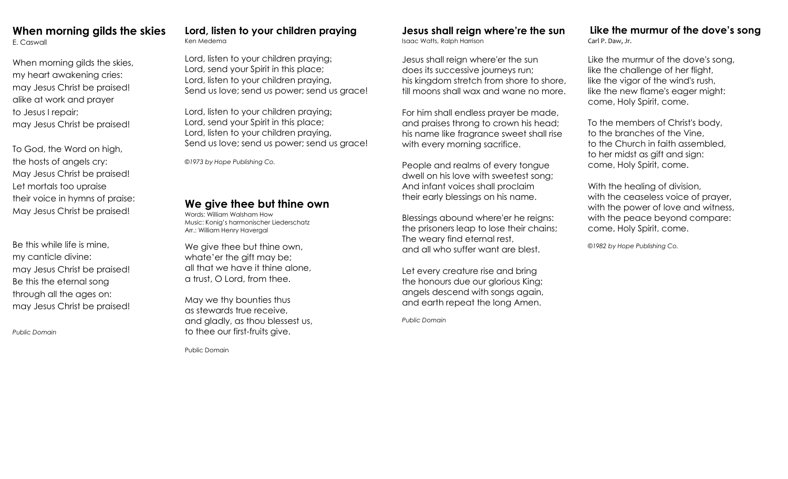# **When morning gilds the skies**

E. Caswall

When morning gilds the skies, my heart awakening cries: may Jesus Christ be praised! alike at work and prayer to Jesus I repair; may Jesus Christ be praised!

To God, the Word on high, the hosts of angels cry: May Jesus Christ be praised! Let mortals too upraise their voice in hymns of praise: May Jesus Christ be praised!

Be this while life is mine, my canticle divine: may Jesus Christ be praised! Be this the eternal song through all the ages on: may Jesus Christ be praised!

*Public Domain*

### **Lord, listen to your children praying** Ken Medema

Lord, listen to your children praying; Lord, send your Spirit in this place; Lord, listen to your children praying, Send us love; send us power; send us grace!

Lord, listen to your children praying; Lord, send your Spirit in this place; Lord, listen to your children praying, Send us love; send us power; send us grace!

*©1973 by Hope Publishing Co.* 

# **We give thee but thine own**

Words: William Walsham How Music: Konig's harmonischer Liederschatz Arr.: William Henry Havergal

We give thee but thine own, whate'er the gift may be; all that we have it thine alone, a trust, O Lord, from thee.

May we thy bounties thus as stewards true receive, and gladly, as thou blessest us, to thee our first-fruits give.

Public Domain

#### **Jesus shall reign where're the sun** Isaac Watts, Ralph Harrison

Jesus shall reign where'er the sun does its successive journeys run; his kingdom stretch from shore to shore, till moons shall wax and wane no more.

For him shall endless prayer be made, and praises throng to crown his head; his name like fragrance sweet shall rise with every morning sacrifice.

People and realms of every tongue dwell on his love with sweetest song; And infant voices shall proclaim their early blessings on his name.

Blessings abound where'er he reigns: the prisoners leap to lose their chains; The weary find eternal rest, and all who suffer want are blest.

Let every creature rise and bring the honours due our glorious King; angels descend with songs again, and earth repeat the long Amen.

*Public Domain*

#### **Like the murmur of the dove's song** Carl P. Daw, Jr.

Like the murmur of the dove's song, like the challenge of her flight, like the vigor of the wind's rush, like the new flame's eager might: come, Holy Spirit, come.

To the members of Christ's body, to the branches of the Vine, to the Church in faith assembled, to her midst as gift and sign: come, Holy Spirit, come.

With the healing of division, with the ceaseless voice of prayer, with the power of love and witness, with the peace beyond compare: come, Holy Spirit, come.

*©1982 by Hope Publishing Co.*